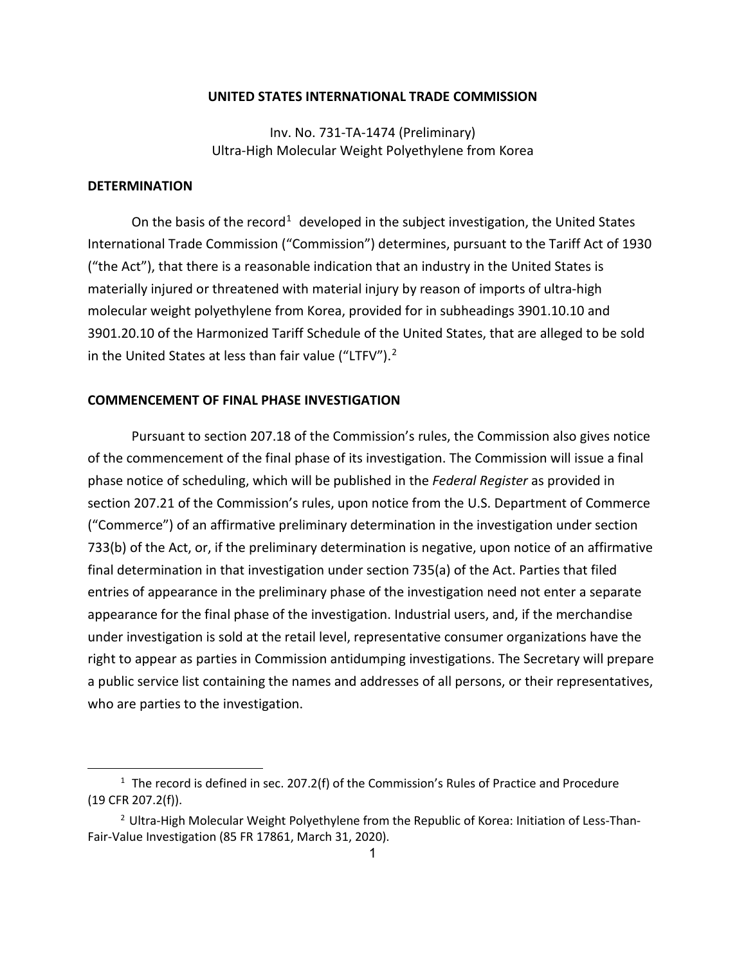## **UNITED STATES INTERNATIONAL TRADE COMMISSION**

Inv. No. 731-TA-1474 (Preliminary) Ultra-High Molecular Weight Polyethylene from Korea

## **DETERMINATION**

On the basis of the record<sup>[1](#page-0-0)</sup> developed in the subject investigation, the United States International Trade Commission ("Commission") determines, pursuant to the Tariff Act of 1930 ("the Act"), that there is a reasonable indication that an industry in the United States is materially injured or threatened with material injury by reason of imports of ultra-high molecular weight polyethylene from Korea, provided for in subheadings 3901.10.10 and 3901.20.10 of the Harmonized Tariff Schedule of the United States, that are alleged to be sold in the United States at less than fair value ("LTFV"). $2$ 

## **COMMENCEMENT OF FINAL PHASE INVESTIGATION**

Pursuant to section 207.18 of the Commission's rules, the Commission also gives notice of the commencement of the final phase of its investigation. The Commission will issue a final phase notice of scheduling, which will be published in the *Federal Register* as provided in section 207.21 of the Commission's rules, upon notice from the U.S. Department of Commerce ("Commerce") of an affirmative preliminary determination in the investigation under section 733(b) of the Act, or, if the preliminary determination is negative, upon notice of an affirmative final determination in that investigation under section 735(a) of the Act. Parties that filed entries of appearance in the preliminary phase of the investigation need not enter a separate appearance for the final phase of the investigation. Industrial users, and, if the merchandise under investigation is sold at the retail level, representative consumer organizations have the right to appear as parties in Commission antidumping investigations. The Secretary will prepare a public service list containing the names and addresses of all persons, or their representatives, who are parties to the investigation.

<span id="page-0-0"></span> $1$  The record is defined in sec. 207.2(f) of the Commission's Rules of Practice and Procedure (19 CFR 207.2(f)).

<span id="page-0-1"></span><sup>&</sup>lt;sup>2</sup> Ultra-High Molecular Weight Polyethylene from the Republic of Korea: Initiation of Less-Than-Fair-Value Investigation (85 FR 17861, March 31, 2020).